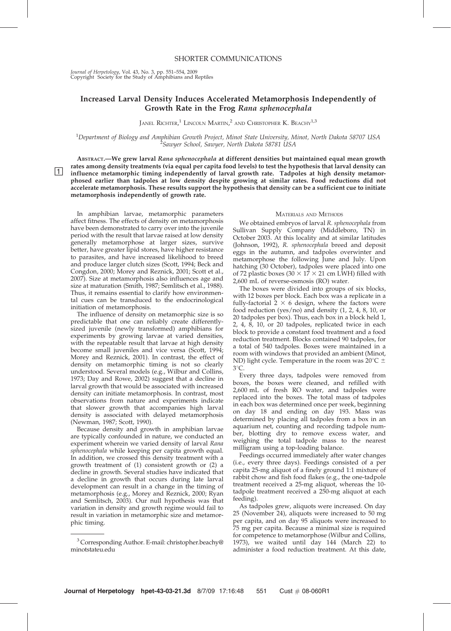Journal of Herpetology, Vol. 43, No. 3, pp. 551–554, 2009 Copyright Society for the Study of Amphibians and Reptiles

# Increased Larval Density Induces Accelerated Metamorphosis Independently of Growth Rate in the Frog Rana sphenocephala

JANEL  $\mathrm{RicHTER}^{1}$  Lincoln Martin, $^{2}$  and Christopher K. Beachy $^{1,3}$ 

<sup>1</sup>Department of Biology and Amphibian Growth Project, Minot State University, Minot, North Dakota 58707 USA<br><sup>2</sup>Sagnuer School, Sagnuer North Dakota 58781 USA <sup>2</sup> Sawyer School, Sawyer, North Dakota 58781 USA

ABSTRACT.—We grew larval Rana sphenocephala at different densities but maintained equal mean growth rates among density treatments (via equal per capita food levels) to test the hypothesis that larval density can The influence metamorphic timing independently of larval growth rate. Tadpoles at high density metamor-<br>influence metamorphic timing independently of larval growth rate. Tadpoles at high density metamorphosed earlier than tadpoles at low density despite growing at similar rates. Food reductions did not accelerate metamorphosis. These results support the hypothesis that density can be a sufficient cue to initiate metamorphosis independently of growth rate.

In amphibian larvae, metamorphic parameters affect fitness. The effects of density on metamorphosis have been demonstrated to carry over into the juvenile period with the result that larvae raised at low density generally metamorphose at larger sizes, survive better, have greater lipid stores, have higher resistance to parasites, and have increased likelihood to breed and produce larger clutch sizes (Scott, 1994; Beck and Congdon, 2000; Morey and Reznick, 2001; Scott et al., 2007). Size at metamorphosis also influences age and size at maturation (Smith, 1987; Semlitsch et al., 1988). Thus, it remains essential to clarify how environmental cues can be transduced to the endocrinological initiation of metamorphosis.

The influence of density on metamorphic size is so predictable that one can reliably create differentlysized juvenile (newly transformed) amphibians for experiments by growing larvae at varied densities, with the repeatable result that larvae at high density become small juveniles and vice versa (Scott, 1994; Morey and Reznick, 2001). In contrast, the effect of density on metamorphic timing is not so clearly understood. Several models (e.g., Wilbur and Collins, 1973; Day and Rowe, 2002) suggest that a decline in larval growth that would be associated with increased density can initiate metamorphosis. In contrast, most observations from nature and experiments indicate that slower growth that accompanies high larval density is associated with delayed metamorphosis (Newman, 1987; Scott, 1990).

Because density and growth in amphibian larvae are typically confounded in nature, we conducted an experiment wherein we varied density of larval Rana sphenocephala while keeping per capita growth equal. In addition, we crossed this density treatment with a growth treatment of (1) consistent growth or (2) a decline in growth. Several studies have indicated that a decline in growth that occurs during late larval development can result in a change in the timing of metamorphosis (e.g., Morey and Reznick, 2000; Ryan and Semlitsch, 2003). Our null hypothesis was that variation in density and growth regime would fail to result in variation in metamorphic size and metamorphic timing.

### MATERIALS AND METHODS

We obtained embryos of larval R. sphenocephala from Sullivan Supply Company (Middleboro, TN) in October 2003. At this locality and at similar latitudes (Johnson, 1992), R. sphenocephala breed and deposit eggs in the autumn, and tadpoles overwinter and metamorphose the following June and July. Upon hatching (30 October), tadpoles were placed into one of 72 plastic boxes (30  $\times$  17  $\times$  21 cm LWH) filled with 2,600 mL of reverse-osmosis (RO) water.

The boxes were divided into groups of six blocks, with 12 boxes per block. Each box was a replicate in a fully-factorial  $2 \times 6$  design, where the factors were food reduction (yes/no) and density (1, 2, 4, 8, 10, or 20 tadpoles per box). Thus, each box in a block held 1, 2, 4, 8, 10, or 20 tadpoles, replicated twice in each block to provide a constant food treatment and a food reduction treatment. Blocks contained 90 tadpoles, for a total of 540 tadpoles. Boxes were maintained in a room with windows that provided an ambient (Minot, ND) light cycle. Temperature in the room was  $20^{\circ}$ C  $\pm$ 3°C

Every three days, tadpoles were removed from boxes, the boxes were cleaned, and refilled with 2,600 mL of fresh RO water, and tadpoles were replaced into the boxes. The total mass of tadpoles in each box was determined once per week, beginning on day 18 and ending on day 193. Mass was determined by placing all tadpoles from a box in an aquarium net, counting and recording tadpole number, blotting dry to remove excess water, and weighing the total tadpole mass to the nearest milligram using a top-loading balance.

Feedings occurred immediately after water changes (i.e., every three days). Feedings consisted of a per capita 25-mg aliquot of a finely ground 1:1 mixture of rabbit chow and fish food flakes (e.g., the one-tadpole treatment received a 25-mg aliquot, whereas the 10 tadpole treatment received a 250-mg aliquot at each feeding).

As tadpoles grew, aliquots were increased. On day 25 (November 24), aliquots were increased to 50 mg per capita, and on day 95 aliquots were increased to 75 mg per capita. Because a minimal size is required for competence to metamorphose (Wilbur and Collins, 1973), we waited until day 144 (March 22) to administer a food reduction treatment. At this date,

<sup>3</sup> Corresponding Author. E-mail: christopher.beachy@ minotstateu.edu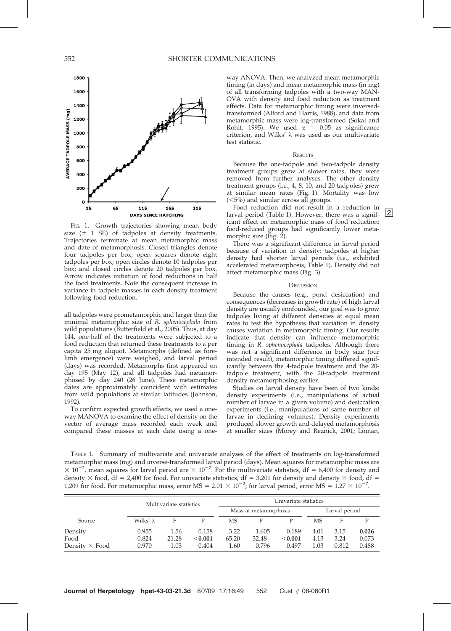

FIG. 1. Growth trajectories showing mean body size  $(\pm 1 \text{ SE})$  of tadpoles at density treatments. Trajectories terminate at mean metamorphic mass and date of metamorphosis. Closed triangles denote four tadpoles per box; open squares denote eight tadpoles per box; open circles denote 10 tadpoles per box; and closed circles denote 20 tadpoles per box. Arrow indicates initiation of food reductions in half the food treatments. Note the consequent increase in variance in tadpole masses in each density treatment following food reduction.

all tadpoles were prometamorphic and larger than the minimal metamorphic size of R. sphenocephala from wild populations (Butterfield et al., 2005). Thus, at day 144, one-half of the treatments were subjected to a food reduction that returned these treatments to a per capita 25 mg aliquot. Metamorphs (defined as forelimb emergence) were weighed, and larval period (days) was recorded. Metamorphs first appeared on day 195 (May 12), and all tadpoles had metamorphosed by day 240 (26 June). These metamorphic dates are approximately coincident with estimates from wild populations at similar latitudes (Johnson, 1992).

To confirm expected growth effects, we used a oneway MANOVA to examine the effect of density on the vector of average mass recorded each week and compared these masses at each date using a oneway ANOVA. Then, we analyzed mean metamorphic timing (in days) and mean metamorphic mass (in mg) of all transforming tadpoles with a two-way MAN-OVA with density and food reduction as treatment effects. Data for metamorphic timing were inversedtransformed (Alford and Harris, 1988), and data from metamorphic mass were log-transformed (Sokal and Rohlf, 1995). We used  $\alpha$  = 0.05 as significance criterion, and Wilks'  $\lambda$  was used as our multivariate test statistic.

### **RESULTS**

Because the one-tadpole and two-tadpole density treatment groups grew at slower rates, they were removed from further analyses. The other density treatment groups (i.e., 4, 8, 10, and 20 tadpoles) grew at similar mean rates (Fig. 1). Mortality was low (<5%) and similar across all groups.

Food reduction did not result in a reduction in larval period (Table 1). However, there was a significant effect on metamorphic mass of food reduction: food-reduced groups had significantly lower metamorphic size (Fig. 2).

There was a significant difference in larval period because of variation in density: tadpoles at higher density had shorter larval periods (i.e., exhibited accelerated metamorphosis; Table 1). Density did not affect metamorphic mass (Fig. 3).

#### **DISCUSSION**

Because the causes (e.g., pond desiccation) and consequences (decreases in growth rate) of high larval density are usually confounded, our goal was to grow tadpoles living at different densities at equal mean rates to test the hypothesis that variation in density causes variation in metamorphic timing. Our results indicate that density can influence metamorphic timing in R. sphenocephala tadpoles. Although there was not a significant difference in body size (our intended result), metamorphic timing differed significantly between the 4-tadpole treatment and the 20 tadpole treatment, with the 20-tadpole treatment density metamorphosing earlier.

Studies on larval density have been of two kinds: density experiments (i.e., manipulations of actual number of larvae in a given volume) and desiccation experiments (i.e., manipulations of same number of larvae in declining volumes). Density experiments produced slower growth and delayed metamorphosis at smaller sizes (Morey and Reznick, 2001; Loman,

TABLE 1. Summary of multivariate and univariate analyses of the effect of treatments on log-transformed metamorphic mass (mg) and inverse-transformed larval period (days). Mean squares for metamorphic mass are  $\times$  10<sup>-2</sup>, mean squares for larval period are  $\times$  10<sup>-7</sup>. For the multivariate statistics, df = 6,400 for density and density  $\times$  food, df = 2,400 for food. For univariate statistics, df = 3,201 for density and density  $\times$  food, df = 1,209 for food. For metamorphic mass, error MS =  $2.01 \times 10^{-2}$ ; for larval period, error MS =  $1.27 \times 10^{-7}$ .

|                       | Multivariate statistics |       |                       | Univariate statistics |       |               |      |       |       |
|-----------------------|-------------------------|-------|-----------------------|-----------------------|-------|---------------|------|-------|-------|
|                       |                         |       | Mass at metamorphosis |                       |       | Larval period |      |       |       |
| Source                | Wilks' $\lambda$        | F     |                       | MS                    | F     |               | MS   | F     |       |
| Density               | 0.955                   | 1.56  | 0.158                 | 3.22                  | 1.605 | 0.189         | 4.01 | 3.15  | 0.026 |
| Food                  | 0.824                   | 21.28 | < 0.001               | 65.20                 | 32.48 | $<$ 0.001     | 4.13 | 3.24  | 0.073 |
| Density $\times$ Food | 0.970                   | 1.03  | 0.404                 | 1.60                  | 0.796 | 0.497         | 1.03 | 0.812 | 0.488 |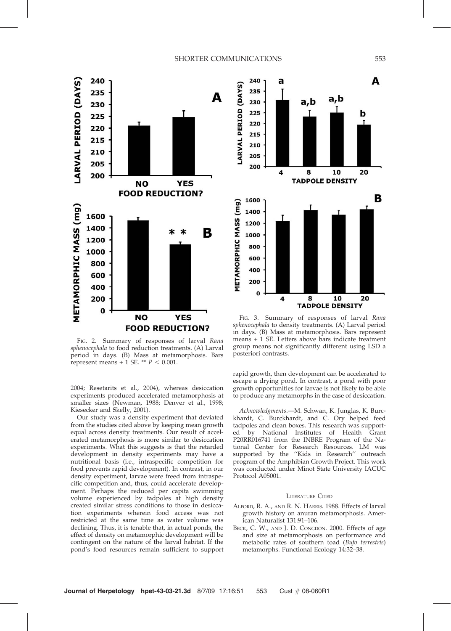## SHORTER COMMUNICATIONS 553



FIG. 2. Summary of responses of larval Rana sphenocephala to food reduction treatments. (A) Larval period in days. (B) Mass at metamorphosis. Bars represent means + 1 SE. \*\*  $P < 0.001$ .

2004; Resetarits et al., 2004), whereas desiccation experiments produced accelerated metamorphosis at smaller sizes (Newman, 1988; Denver et al., 1998; Kiesecker and Skelly, 2001).

Our study was a density experiment that deviated from the studies cited above by keeping mean growth equal across density treatments. Our result of accelerated metamorphosis is more similar to desiccation experiments. What this suggests is that the retarded development in density experiments may have a nutritional basis (i.e., intraspecific competition for food prevents rapid development). In contrast, in our density experiment, larvae were freed from intraspecific competition and, thus, could accelerate development. Perhaps the reduced per capita swimming volume experienced by tadpoles at high density created similar stress conditions to those in desiccation experiments wherein food access was not restricted at the same time as water volume was declining. Thus, it is tenable that, in actual ponds, the effect of density on metamorphic development will be contingent on the nature of the larval habitat. If the pond's food resources remain sufficient to support



FIG. 3. Summary of responses of larval Rana sphenocephala to density treatments. (A) Larval period in days. (B) Mass at metamorphosis. Bars represent means + 1 SE. Letters above bars indicate treatment group means not significantly different using LSD a posteriori contrasts.

rapid growth, then development can be accelerated to escape a drying pond. In contrast, a pond with poor growth opportunities for larvae is not likely to be able to produce any metamorphs in the case of desiccation.

Acknowledgments.—M. Schwan, K. Junglas, K. Burckhardt, C. Burckhardt, and C. Ory helped feed tadpoles and clean boxes. This research was supported by National Institutes of Health Grant P20RR016741 from the INBRE Program of the National Center for Research Resources. LM was supported by the ''Kids in Research'' outreach program of the Amphibian Growth Project. This work was conducted under Minot State University IACUC Protocol A05001.

## LITERATURE CITED

- ALFORD, R. A., AND R. N. HARRIS. 1988. Effects of larval growth history on anuran metamorphosis. American Naturalist 131:91–106.
- BECK, C. W., AND J. D. CONGDON. 2000. Effects of age and size at metamorphosis on performance and metabolic rates of southern toad (Bufo terrestris) metamorphs. Functional Ecology 14:32–38.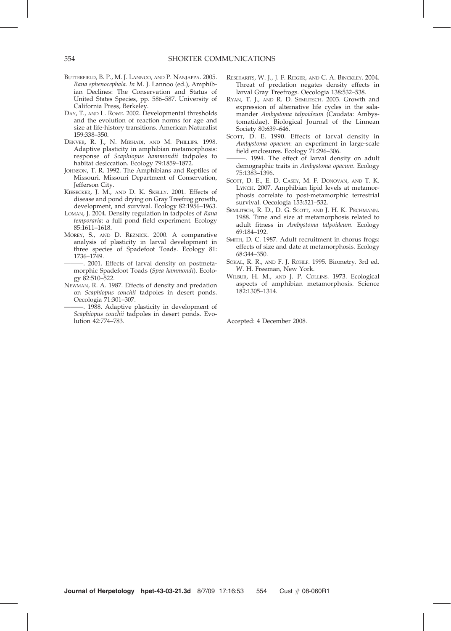- BUTTERFIELD, B. P., M. J. LANNOO, AND P. NANJAPPA. 2005. Rana sphenocephala. In M. J. Lannoo (ed.), Amphibian Declines: The Conservation and Status of United States Species, pp. 586–587. University of California Press, Berkeley.
- DAY, T., AND L. ROWE. 2002. Developmental thresholds and the evolution of reaction norms for age and size at life-history transitions. American Naturalist 159:338–350.
- DENVER, R. J., N. MIRHADI, AND M. PHILLIPS. 1998. Adaptive plasticity in amphibian metamorphosis: response of Scaphiopus hammondii tadpoles to habitat desiccation. Ecology 79:1859–1872.
- JOHNSON, T. R. 1992. The Amphibians and Reptiles of Missouri. Missouri Department of Conservation, Jefferson City.
- KIESECKER, J. M., AND D. K. SKELLY. 2001. Effects of disease and pond drying on Gray Treefrog growth, development, and survival. Ecology 82:1956–1963.
- LOMAN, J. 2004. Density regulation in tadpoles of Rana temporaria: a full pond field experiment. Ecology 85:1611–1618.
- MOREY, S., AND D. REZNICK. 2000. A comparative analysis of plasticity in larval development in three species of Spadefoot Toads. Ecology 81: 1736–1749.
- -. 2001. Effects of larval density on postmetamorphic Spadefoot Toads (Spea hammondi). Ecology 82:510–522.
- NEWMAN, R. A. 1987. Effects of density and predation on Scaphiopus couchii tadpoles in desert ponds. Oecologia 71:301–307.
- 1988. Adaptive plasticity in development of Scaphiopus couchii tadpoles in desert ponds. Evolution 42:774–783.
- RESETARITS, W. J., J. F. RIEGER, AND C. A. BINCKLEY. 2004. Threat of predation negates density effects in larval Gray Treefrogs. Oecologia 138:532–538.
- RYAN, T. J., AND R. D. SEMLITSCH. 2003. Growth and expression of alternative life cycles in the salamander Ambystoma talpoideum (Caudata: Ambystomatidae). Biological Journal of the Linnean Society 80:639–646.
- SCOTT, D. E. 1990. Effects of larval density in Ambystoma opacum: an experiment in large-scale field enclosures. Ecology 71:296–306.
- $\therefore$  1994. The effect of larval density on adult demographic traits in Ambystoma opacum. Ecology 75:1383–1396.
- SCOTT, D. E., E. D. CASEY, M. F. DONOVAN, AND T. K. LYNCH. 2007. Amphibian lipid levels at metamorphosis correlate to post-metamorphic terrestrial survival. Oecologia 153:521–532.
- SEMLITSCH, R. D., D. G. SCOTT, AND J. H. K. PECHMANN. 1988. Time and size at metamorphosis related to adult fitness in Ambystoma talpoideum. Ecology 69:184–192.
- SMITH, D. C. 1987. Adult recruitment in chorus frogs: effects of size and date at metamorphosis. Ecology 68:344–350.
- SOKAL, R. R., AND F. J. ROHLF. 1995. Biometry. 3rd ed. W. H. Freeman, New York.
- WILBUR, H. M., AND J. P. COLLINS. 1973. Ecological aspects of amphibian metamorphosis. Science 182:1305–1314.

Accepted: 4 December 2008.